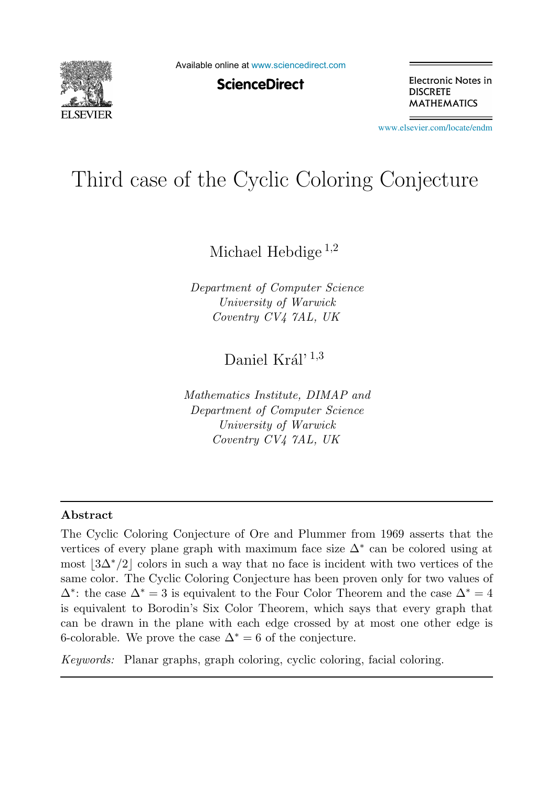

Available online at [www.sciencedirect.com](http://www.sciencedirect.com)

**ScienceDirect** 

Electronic Notes in **DISCRETE MATHEMATICS** 

[www.elsevier.com/locate/endm](http://www.elsevier.com/locate/endm)

# Third case of the Cyclic Coloring Conjecture

Michael Hebdige<sup>1,2</sup>

*Department of Computer Science University of Warwick Coventry CV4 7AL, UK*

## Daniel Král'  $^{1,3}$

*Mathematics Institute, DIMAP and Department of Computer Science University of Warwick Coventry CV4 7AL, UK*

#### Abstract

The Cyclic Coloring Conjecture of Ore and Plummer from 1969 asserts that the vertices of every plane graph with maximum face size  $\Delta^*$  can be colored using at most  $|3\Delta^*/2|$  colors in such a way that no face is incident with two vertices of the same color. The Cyclic Coloring Conjecture has been proven only for two values of  $\Delta^*$ : the case  $\Delta^* = 3$  is equivalent to the Four Color Theorem and the case  $\Delta^* = 4$ is equivalent to Borodin's Six Color Theorem, which says that every graph that can be drawn in the plane with each edge crossed by at most one other edge is 6-colorable. We prove the case  $\Delta^* = 6$  of the conjecture.

*Keywords:* Planar graphs, graph coloring, cyclic coloring, facial coloring.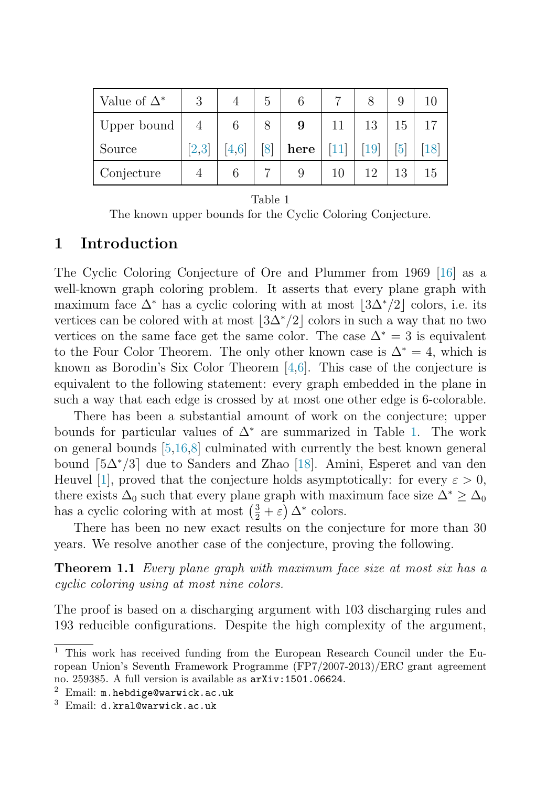<span id="page-1-0"></span>

| Value of $\Delta^*$ | 3              | G |      |        |           |    |    |
|---------------------|----------------|---|------|--------|-----------|----|----|
| Upper bound         | $\overline{4}$ |   | 9    |        | 13        | 15 |    |
| Source              | [2,3]          |   | here |        | <b>19</b> |    |    |
| Conjecture          |                |   |      | $10\,$ | 19        | 13 | ТÐ |

Table 1

The known upper bounds for the Cyclic Coloring Conjecture.

#### 1 Introduction

The Cyclic Coloring Conjecture of Ore and Plummer from 1969 [\[16\]](#page-4-7) as a well-known graph coloring problem. It asserts that every plane graph with maximum face  $\Delta^*$  has a cyclic coloring with at most  $|3\Delta^*/2|$  colors, i.e. its vertices can be colored with at most  $|3\Delta^*/2|$  colors in such a way that no two vertices on the same face get the same color. The case  $\Delta^* = 3$  is equivalent to the Four Color Theorem. The only other known case is  $\Delta^* = 4$ , which is known as Borodin's Six Color Theorem [\[4](#page-4-0)[,6\]](#page-4-1). This case of the conjecture is equivalent to the following statement: every graph embedded in the plane in such a way that each edge is crossed by at most one other edge is 6-colorable.

There has been a substantial amount of work on the conjecture; upper bounds for particular values of  $\Delta^*$  are summarized in Table [1.](#page-1-0) The work on general bounds [\[5](#page-4-5)[,16,](#page-4-7)[8\]](#page-4-2) culminated with currently the best known general bound  $\lceil 5\Delta^*/3 \rceil$  due to Sanders and Zhao [\[18\]](#page-4-6). Amini, Esperet and van den Heuvel [\[1\]](#page-3-2), proved that the conjecture holds asymptotically: for every  $\varepsilon > 0$ , there exists  $\Delta_0$  such that every plane graph with maximum face size  $\Delta^*$  >  $\Delta_0$ has a cyclic coloring with at most  $\left(\frac{3}{2} + \varepsilon\right) \Delta^*$  colors.

There has been no new exact results on the conjecture for more than 30 years. We resolve another case of the conjecture, proving the following.

**Theorem 1.1** Every plane graph with maximum face size at most six has a cyclic coloring using at most nine colors.

The proof is based on a discharging argument with 103 discharging rules and 193 reducible configurations. Despite the high complexity of the argument,

<sup>1</sup> This work has received funding from the European Research Council under the European Union's Seventh Framework Programme (FP7/2007-2013)/ERC grant agreement no. 259385. A full version is available as arXiv:1501.06624.<br><sup>2</sup> Email: m.hebdige@warwick.ac.uk

<sup>3</sup> Email: d.kral@warwick.ac.uk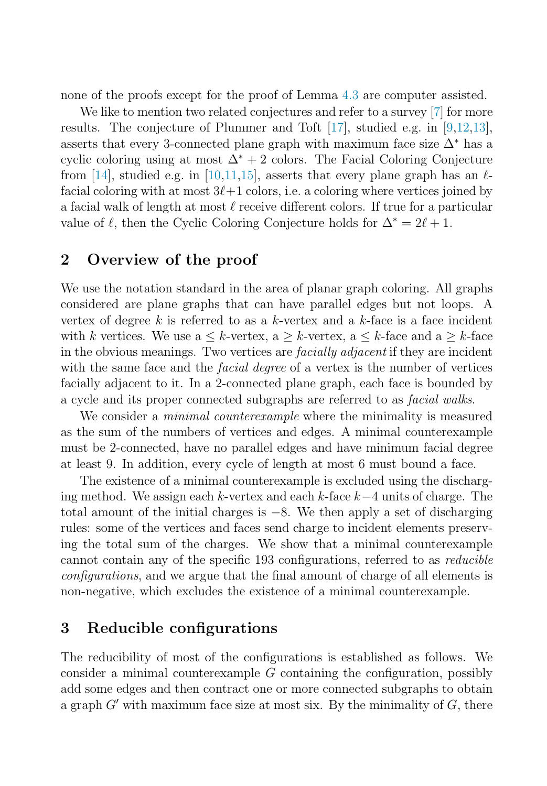none of the proofs except for the proof of Lemma [4.3](#page-3-3) are computer assisted.

We like to mention two related conjectures and refer to a survey [\[7\]](#page-4-8) for more results. The conjecture of Plummer and Toft [\[17\]](#page-4-9), studied e.g. in [\[9](#page-4-10)[,12](#page-4-11)[,13\]](#page-4-12), asserts that every 3-connected plane graph with maximum face size  $\Delta^*$  has a cyclic coloring using at most  $\Delta^* + 2$  colors. The Facial Coloring Conjecture from [\[14\]](#page-4-13), studied e.g. in [\[10,](#page-4-14)[11,](#page-4-3)[15\]](#page-4-15), asserts that every plane graph has an  $\ell$ facial coloring with at most  $3\ell+1$  colors, i.e. a coloring where vertices joined by a facial walk of length at most  $\ell$  receive different colors. If true for a particular value of  $\ell$ , then the Cyclic Coloring Conjecture holds for  $\Delta^* = 2\ell + 1$ .

#### 2 Overview of the proof

We use the notation standard in the area of planar graph coloring. All graphs considered are plane graphs that can have parallel edges but not loops. A vertex of degree k is referred to as a k-vertex and a k-face is a face incident with k vertices. We use  $a \leq k$ -vertex,  $a \geq k$ -vertex,  $a \leq k$ -face and  $a \geq k$ -face in the obvious meanings. Two vertices are facially adjacent if they are incident with the same face and the *facial degree* of a vertex is the number of vertices facially adjacent to it. In a 2-connected plane graph, each face is bounded by a cycle and its proper connected subgraphs are referred to as facial walks.

We consider a *minimal counterexample* where the minimality is measured as the sum of the numbers of vertices and edges. A minimal counterexample must be 2-connected, have no parallel edges and have minimum facial degree at least 9. In addition, every cycle of length at most 6 must bound a face.

The existence of a minimal counterexample is excluded using the discharging method. We assign each k-vertex and each k-face k−4 units of charge. The total amount of the initial charges is −8. We then apply a set of discharging rules: some of the vertices and faces send charge to incident elements preserving the total sum of the charges. We show that a minimal counterexample cannot contain any of the specific 193 configurations, referred to as reducible configurations, and we argue that the final amount of charge of all elements is non-negative, which excludes the existence of a minimal counterexample.

#### 3 Reducible configurations

The reducibility of most of the configurations is established as follows. We consider a minimal counterexample  $G$  containing the configuration, possibly add some edges and then contract one or more connected subgraphs to obtain a graph  $G'$  with maximum face size at most six. By the minimality of  $G$ , there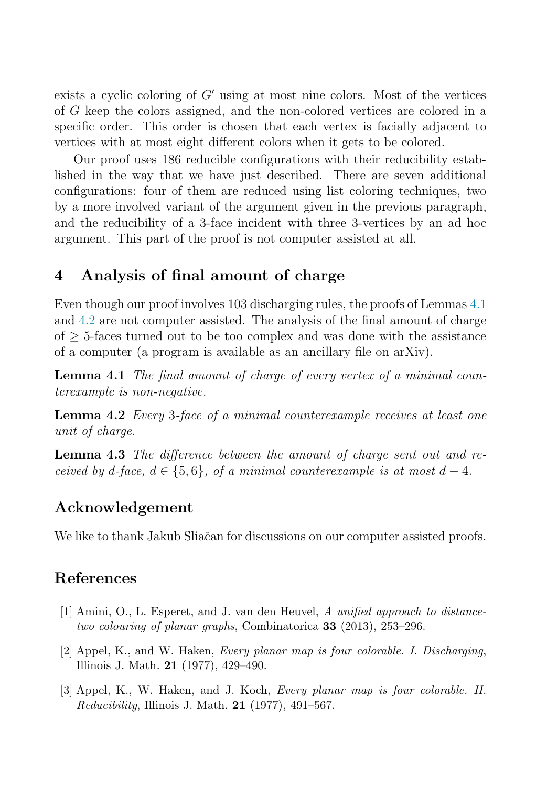exists a cyclic coloring of G′ using at most nine colors. Most of the vertices of G keep the colors assigned, and the non-colored vertices are colored in a specific order. This order is chosen that each vertex is facially adjacent to vertices with at most eight different colors when it gets to be colored.

Our proof uses 186 reducible configurations with their reducibility established in the way that we have just described. There are seven additional configurations: four of them are reduced using list coloring techniques, two by a more involved variant of the argument given in the previous paragraph, and the reducibility of a 3-face incident with three 3-vertices by an ad hoc argument. This part of the proof is not computer assisted at all.

#### 4 Analysis of final amount of charge

<span id="page-3-5"></span><span id="page-3-4"></span>Even though our proof involves 103 discharging rules, the proofs of Lemmas [4.1](#page-3-4) and [4.2](#page-3-5) are not computer assisted. The analysis of the final amount of charge of  $\geq$  5-faces turned out to be too complex and was done with the assistance of a computer (a program is available as an ancillary file on arXiv).

<span id="page-3-3"></span>Lemma 4.1 The final amount of charge of every vertex of a minimal counterexample is non-negative.

Lemma 4.2 Every 3-face of a minimal counterexample receives at least one unit of charge.

Lemma 4.3 The difference between the amount of charge sent out and received by d-face,  $d \in \{5,6\}$ , of a minimal counterexample is at most  $d-4$ .

#### Acknowledgement

<span id="page-3-2"></span>We like to thank Jakub Sliačan for discussions on our computer assisted proofs.

### <span id="page-3-0"></span>References

- <span id="page-3-1"></span>[1] Amini, O., L. Esperet, and J. van den Heuvel, *A unified approach to distancetwo colouring of planar graphs*, Combinatorica 33 (2013), 253–296.
- [2] Appel, K., and W. Haken, *Every planar map is four colorable. I. Discharging*, Illinois J. Math. 21 (1977), 429–490.
- [3] Appel, K., W. Haken, and J. Koch, *Every planar map is four colorable. II. Reducibility*, Illinois J. Math. 21 (1977), 491–567.